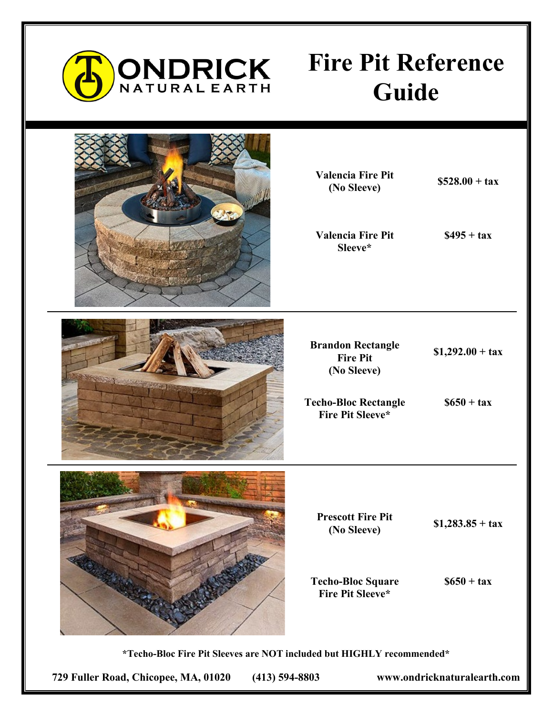

## **Fire Pit Reference Guide**



**Valencia Fire Pit (No Sleeve) \$528.00 + tax**

**Valencia Fire Pit Sleeve\***

**\$495 + tax**

**Brandon Rectangle Fire Pit (No Sleeve)**

**\$1,292.00 + tax**

**Techo-Bloc Rectangle Fire Pit Sleeve\***

**\$650 + tax**

**Prescott Fire Pit (No Sleeve) \$1,283.85 + tax**

**Techo-Bloc Square Fire Pit Sleeve\***

**\$650 + tax**

**\*Techo-Bloc Fire Pit Sleeves are NOT included but HIGHLY recommended\*** 

**729 Fuller Road, Chicopee, MA, 01020 (413) 594-8803 www.ondricknaturalearth.com**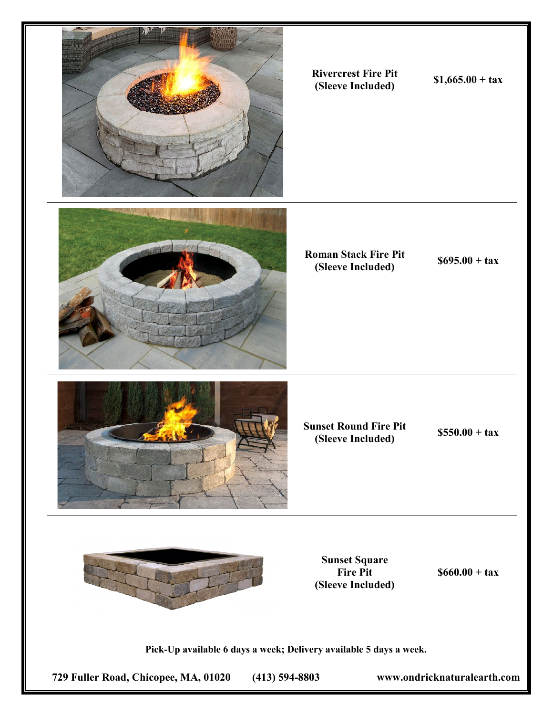